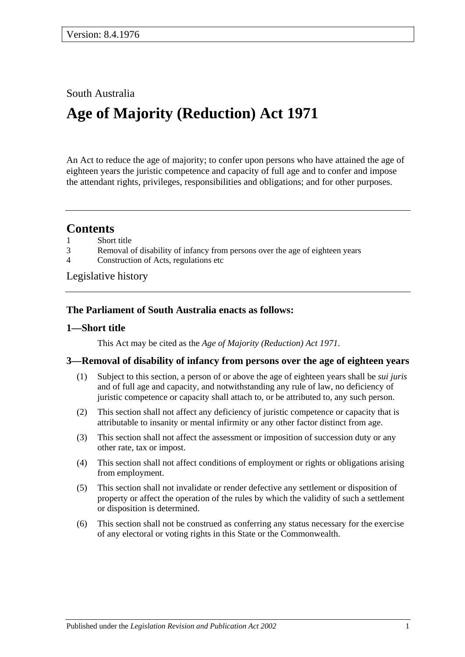### South Australia

# **Age of Majority (Reduction) Act 1971**

An Act to reduce the age of majority; to confer upon persons who have attained the age of eighteen years the juristic competence and capacity of full age and to confer and impose the attendant rights, privileges, responsibilities and obligations; and for other purposes.

## **Contents**

- 1 [Short title](#page-0-0)
- 3 [Removal of disability of infancy from persons over](#page-0-1) the age of eighteen years
- 4 [Construction of Acts, regulations etc](#page-1-0)

[Legislative history](#page-2-0)

#### **The Parliament of South Australia enacts as follows:**

#### <span id="page-0-0"></span>**1—Short title**

This Act may be cited as the *Age of Majority (Reduction) Act 1971*.

#### <span id="page-0-1"></span>**3—Removal of disability of infancy from persons over the age of eighteen years**

- (1) Subject to this section, a person of or above the age of eighteen years shall be *sui juris* and of full age and capacity, and notwithstanding any rule of law, no deficiency of juristic competence or capacity shall attach to, or be attributed to, any such person.
- (2) This section shall not affect any deficiency of juristic competence or capacity that is attributable to insanity or mental infirmity or any other factor distinct from age.
- (3) This section shall not affect the assessment or imposition of succession duty or any other rate, tax or impost.
- (4) This section shall not affect conditions of employment or rights or obligations arising from employment.
- (5) This section shall not invalidate or render defective any settlement or disposition of property or affect the operation of the rules by which the validity of such a settlement or disposition is determined.
- (6) This section shall not be construed as conferring any status necessary for the exercise of any electoral or voting rights in this State or the Commonwealth.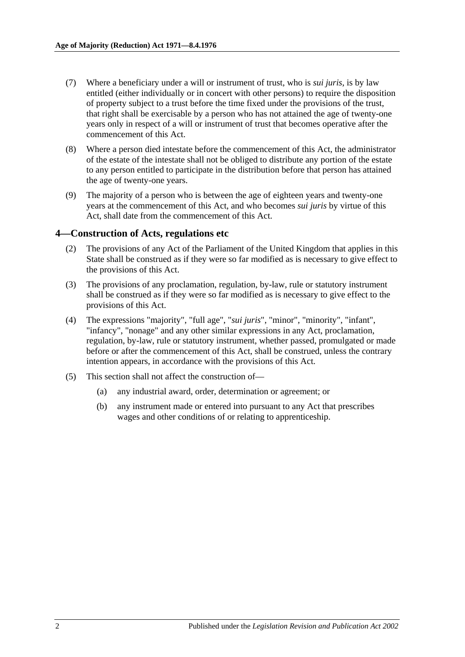- (7) Where a beneficiary under a will or instrument of trust, who is *sui juris*, is by law entitled (either individually or in concert with other persons) to require the disposition of property subject to a trust before the time fixed under the provisions of the trust, that right shall be exercisable by a person who has not attained the age of twenty-one years only in respect of a will or instrument of trust that becomes operative after the commencement of this Act.
- (8) Where a person died intestate before the commencement of this Act, the administrator of the estate of the intestate shall not be obliged to distribute any portion of the estate to any person entitled to participate in the distribution before that person has attained the age of twenty-one years.
- (9) The majority of a person who is between the age of eighteen years and twenty-one years at the commencement of this Act, and who becomes *sui juris* by virtue of this Act, shall date from the commencement of this Act.

#### <span id="page-1-0"></span>**4—Construction of Acts, regulations etc**

- (2) The provisions of any Act of the Parliament of the United Kingdom that applies in this State shall be construed as if they were so far modified as is necessary to give effect to the provisions of this Act.
- (3) The provisions of any proclamation, regulation, by-law, rule or statutory instrument shall be construed as if they were so far modified as is necessary to give effect to the provisions of this Act.
- (4) The expressions "majority", "full age", "*sui juris*", "minor", "minority", "infant", "infancy", "nonage" and any other similar expressions in any Act, proclamation, regulation, by-law, rule or statutory instrument, whether passed, promulgated or made before or after the commencement of this Act, shall be construed, unless the contrary intention appears, in accordance with the provisions of this Act.
- (5) This section shall not affect the construction of—
	- (a) any industrial award, order, determination or agreement; or
	- (b) any instrument made or entered into pursuant to any Act that prescribes wages and other conditions of or relating to apprenticeship.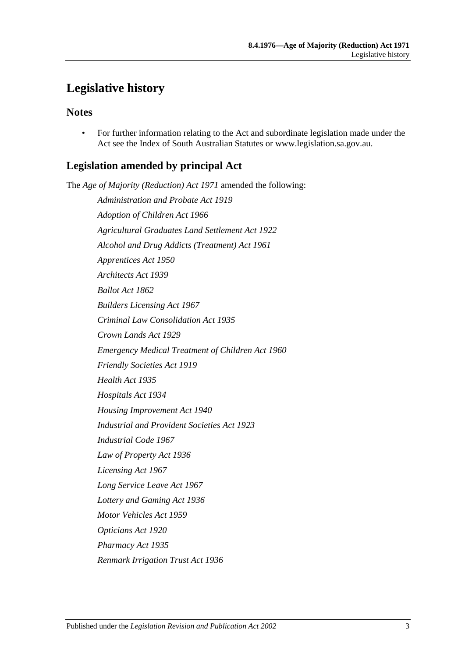## <span id="page-2-0"></span>**Legislative history**

## **Notes**

• For further information relating to the Act and subordinate legislation made under the Act see the Index of South Australian Statutes or www.legislation.sa.gov.au.

## **Legislation amended by principal Act**

The *Age of Majority (Reduction) Act 1971* amended the following: *Administration and Probate Act 1919 Adoption of Children Act 1966 Agricultural Graduates Land Settlement Act 1922 Alcohol and Drug Addicts (Treatment) Act 1961 Apprentices Act 1950 Architects Act 1939 Ballot Act 1862 Builders Licensing Act 1967 Criminal Law Consolidation Act 1935 Crown Lands Act 1929 Emergency Medical Treatment of Children Act 1960 Friendly Societies Act 1919 Health Act 1935 Hospitals Act 1934 Housing Improvement Act 1940 Industrial and Provident Societies Act 1923 Industrial Code 1967 Law of Property Act 1936 Licensing Act 1967 Long Service Leave Act 1967 Lottery and Gaming Act 1936 Motor Vehicles Act 1959 Opticians Act 1920 Pharmacy Act 1935 Renmark Irrigation Trust Act 1936*